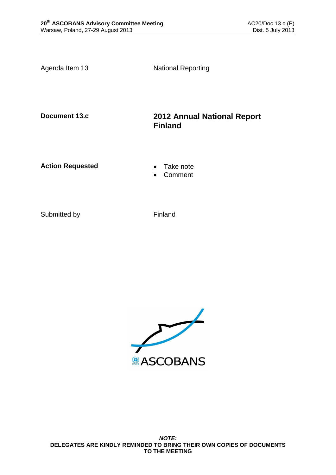Agenda Item 13 National Reporting

### **Document 13.c 2012 Annual National Report Finland**

Action Requested **Canadian Exercise Action Requested Canadian Exercise** 

Comment

Submitted by Finland

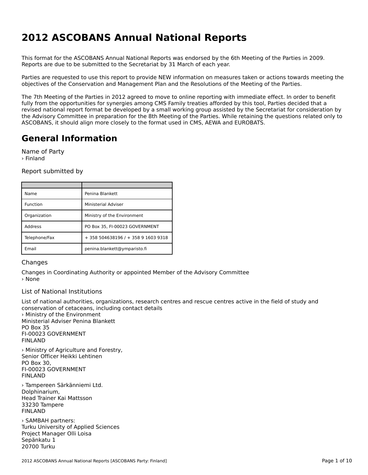# **2012 ASCOBANS Annual National Reports**

This format for the ASCOBANS Annual National Reports was endorsed by the 6th Meeting of the Parties in 2009. Reports are due to be submitted to the Secretariat by 31 March of each year.

Parties are requested to use this report to provide NEW information on measures taken or actions towards meeting the raities are requested to use this report to provide NEW imbifiration on measures taken or actions towar<br>objectives of the Conservation and Management Plan and the Resolutions of the Meeting of the Parties.

The 7th Meeting of the Parties in 2012 agreed to move to online reporting with immediate effect. In order to benefit fully from the opportunities for synergies among CMS Family treaties afforded by this tool, Parties decided that a runy nom the opportunities for synergies among CMS ramny treaties anorded by this tool, rarties decided that a<br>revised national report format be developed by a small working group assisted by the Secretariat for considerat Tevised haddhar report format be developed by a small working group assisted by the Becretariat for consideration by<br>the Advisory Committee in preparation for the 8th Meeting of the Parties. While retaining the questions r are Advisory committee in preparation for the our meeting or the Farties. Wrille retaining t<br>ASCOBANS, it should align more closely to the format used in CMS, AEWA and EUROBATS.

### **General Information**

Name of Party › Finland

Report submitted by

| Name          | Penina Blankett                     |
|---------------|-------------------------------------|
| Function      | Ministerial Adviser                 |
| Organization  | Ministry of the Environment         |
| Address       | PO Box 35, FI-00023 GOVERNMENT      |
| Telephone/Fax | + 358 504638196 / + 358 9 1603 9318 |
| Email         | penina.blankett@ymparisto.fi        |

### Changes

Changes in Coordinating Authority or appointed Member of the Advisory Committee › None

#### List of National Institutions

List of national authorities, organizations, research centres and rescue centres active in the field of study and conservation of cetaceans, including contact details › Ministry of the Environment Ministerial Adviser Penina Blankettrimisteriai<br>PO Box 35 FI-00023 GOVERNMENT FINLAND› Ministry of Agriculture and Forestry,

Senior Officer Heikki Lehtinen PO Box 30,FI-00023 GOVERNMENTFINLAND

› Tampereen Särkänniemi Ltd. Dolphinarium, Doiphinarium,<br>Head Trainer Kai Mattsson 33230 TampereFINLAND

› SAMBAH partners: Turku University of Applied Sciences Project Manager Olli Loisa rroject mana<br>Sepänkatu 1 20700 Turku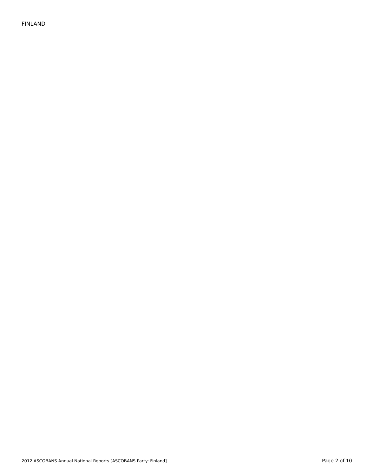FINLAND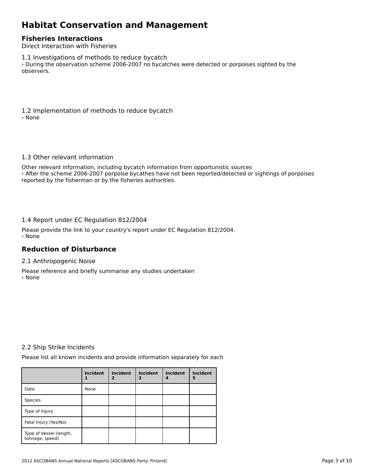## **Habitat Conservation and Management**

## **Fisheries Interactions**

Direct Interaction with Fisheries

1.1 Investigations of methods to reduce bycatch

› During the observation scheme 2006-2007 no bycatches were detected or porpoises sighted by the observers.

1.2 Implementation of methods to reduce bycatch › None

### 1.3 Other relevant information

Other relevant information, including bycatch information from opportunistic sources Stiff relevant information, including bycatch information from opportunistic sources<br>> After the scheme 2006-2007 porpoise bycathes have not been reported/detected or sightings of porpoises reported by the fisherman or by the fisheries authorities.

### 1.4 Report under EC Regulation 812/2004

Please provide the link to your country's report under EC Regulation 812/2004.ricasc<br>· None

### **Reduction of Disturbance**

2.1 Anthropogenic Noise

Please reference and briefly summarise any studies undertaken

### 2.2 Ship Strike Incidents

Please list all known incidents and provide information separately for each

|                                            | <b>Incident</b> | <b>Incident</b><br>2 | <b>Incident</b><br>з | <b>Incident</b><br>4 | <b>Incident</b><br>5 |
|--------------------------------------------|-----------------|----------------------|----------------------|----------------------|----------------------|
| Date                                       | None            |                      |                      |                      |                      |
| Species                                    |                 |                      |                      |                      |                      |
| Type of Injury                             |                 |                      |                      |                      |                      |
| Fatal Injury (Yes/No)                      |                 |                      |                      |                      |                      |
| Type of Vessel (length,<br>tonnage, speed) |                 |                      |                      |                      |                      |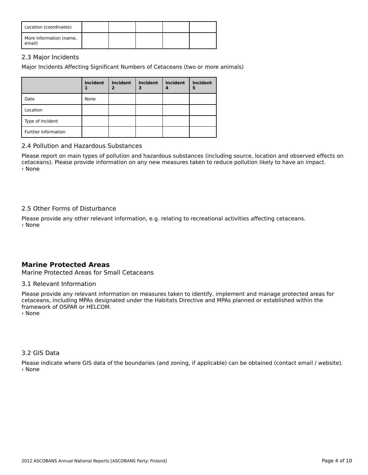| Location (coordinates)            |  |  |  |
|-----------------------------------|--|--|--|
| More Information (name,<br>email) |  |  |  |

### 2.3 Major Incidents

Major Incidents Affecting Significant Numbers of Cetaceans (two or more animals)

|                            | <b>Incident</b> | <b>Incident</b> | <b>Incident</b><br>3 | Incident<br>4 | Incident<br>5 |
|----------------------------|-----------------|-----------------|----------------------|---------------|---------------|
| Date                       | None            |                 |                      |               |               |
| Location                   |                 |                 |                      |               |               |
| Type of Incident           |                 |                 |                      |               |               |
| <b>Further Information</b> |                 |                 |                      |               |               |

#### 2.4 Pollution and Hazardous Substances

Please report on main types of pollution and hazardous substances (including source, location and observed effects on cetaceans). Please provide information on any new measures taken to reduce pollution likely to have an impact. › None

#### 2.5 Other Forms of Disturbance

Please provide any other relevant information, e.g. relating to recreational activities affecting cetaceans. › None

### **Marine Protected Areas**

**Plat the Protected Areas**<br>Marine Protected Areas for Small Cetaceans

#### 3.1 Relevant Information

Please provide any relevant information on measures taken to identify, implement and manage protected areas for cetaceans, including MPAs designated under the Habitats Directive and MPAs planned or established within the framework of OSPAR or HELCOM. › None

> None

### 3.2 GIS Data

Please indicate where GIS data of the boundaries (and zoning, if applicable) can be obtained (contact email / website).<br>
· Nana > None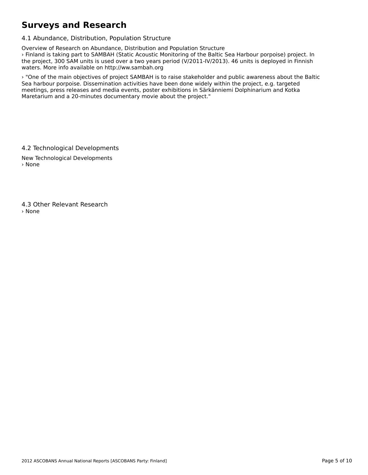## **Surveys and Research**

4.1 Abundance, Distribution, Population Structure

Overview of Research on Abundance, Distribution and Population Structure

› Finland is taking part to SAMBAH (Static Acoustic Monitoring of the Baltic Sea Harbour porpoise) project. In the project, 300 SAM units is used over a two years period (V/2011-IV/2013). 46 units is deployed in Finnish waters. More info available on http://ww.sambah.org

› "One of the main objectives of project SAMBAH is to raise stakeholder and public awareness about the Baltic s one of the main objectives of project SAMBATT's to raise stakeholder and public awareness about the project o<br>Sea harbour porpoise. Dissemination activities have been done widely within the project, e.g. targeted Sea harbour porpoise. Dissemmation activities have been done widery within the project, e.g. targeted<br>meetings, press releases and media events, poster exhibitions in Särkänniemi Dolphinarium and Kotka meetings, press releases and media events, poster exmoltions in Jark<br>Maretarium and a 20-minutes documentary movie about the project."

4.2 Technological Developments

New Technological Developments > None

4.3 Other Relevant Research› None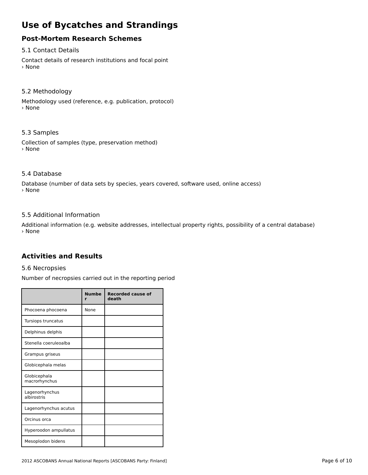## **Use of Bycatches and Strandings**

## **Post-Mortem Research Schemes**

### 5.1 Contact Details

Contact details of research institutions and focal point › None

### 5.2 Methodology

Methodology used (reference, e.g. publication, protocol) > None

## 5.3 Samples

Collection of samples (type, preservation method) › None

### 5.4 Database

Database (number of data sets by species, years covered, software used, online access)

### 5.5 Additional Information

Additional information (e.g. website addresses, intellectual property rights, possibility of a central database)<br>· Nanc > None

### **Activities and Results**

## 5.6 Necropsies

Number of necropsies carried out in the reporting period

|                               | <b>Numbe</b><br>r | <b>Recorded cause of</b><br>death |
|-------------------------------|-------------------|-----------------------------------|
| Phocoena phocoena             | None              |                                   |
| Tursiops truncatus            |                   |                                   |
| Delphinus delphis             |                   |                                   |
| Stenella coeruleoalba         |                   |                                   |
| Grampus griseus               |                   |                                   |
| Globicephala melas            |                   |                                   |
| Globicephala<br>macrorhynchus |                   |                                   |
| Lagenorhynchus<br>albirostris |                   |                                   |
| Lagenorhynchus acutus         |                   |                                   |
| Orcinus orca                  |                   |                                   |
| Hyperoodon ampullatus         |                   |                                   |
| Mesoplodon bidens             |                   |                                   |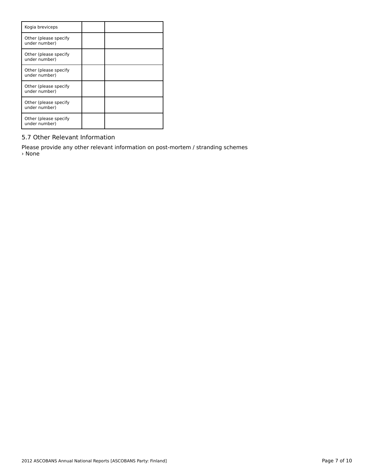| Kogia breviceps                        |  |
|----------------------------------------|--|
| Other (please specify<br>under number) |  |
| Other (please specify<br>under number) |  |
| Other (please specify<br>under number) |  |
| Other (please specify<br>under number) |  |
| Other (please specify<br>under number) |  |
| Other (please specify<br>under number) |  |

### 5.7 Other Relevant Information

Please provide any other relevant information on post-mortem / stranding schemes > None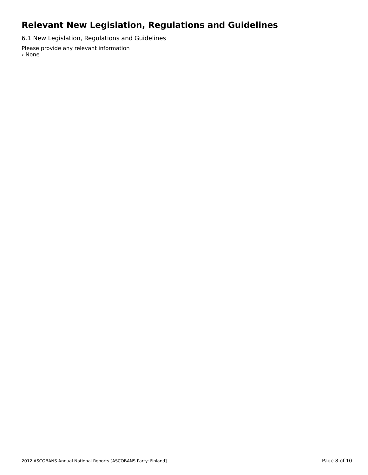## **Relevant New Legislation, Regulations and Guidelines**

6.1 New Legislation, Regulations and Guidelines

Please provide any relevant information › None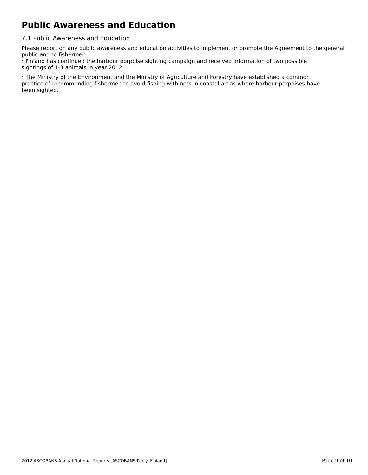## **Public Awareness and Education**

#### 7.1 Public Awareness and Education

Please report on any public awareness and education activities to implement or promote the Agreement to the general riease report on any put<br>public and to fishermen.

› Finland has continued the harbour porpoise sighting campaign and received information of two possible sightings of 1-3 animals in year 2012.

› The Ministry of the Environment and the Ministry of Agriculture and Forestry have established a common practice of recommending fishermen to avoid fishing with nets in coastal areas where harbour porpoises have practice or red<br>been sighted.